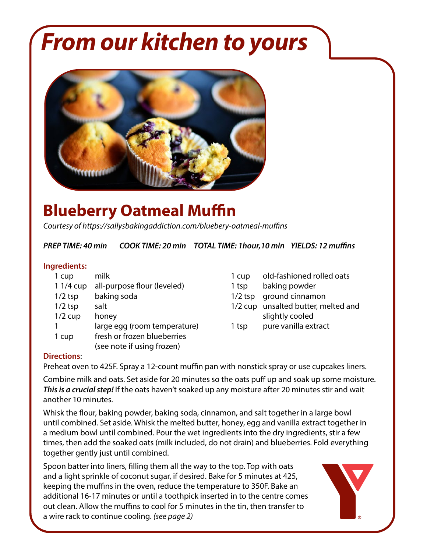# *From our kitchen to yours*



## **Blueberry Oatmeal Muffin**

*Courtesy of https://sallysbakingaddiction.com/bluebery-oatmeal-muffins*

*PREP TIME: 40 min COOK TIME: 20 min TOTAL TIME: 1hour,10 min YIELDS: 12 muffins*

### **Ingredients:**

| 1 cup     | milk                                 | 1 cup     | old-fashioned rolled oats           |
|-----------|--------------------------------------|-----------|-------------------------------------|
|           | 11/4 cup all-purpose flour (leveled) | 1 tsp     | baking powder                       |
| $1/2$ tsp | baking soda                          | $1/2$ tsp | ground cinnamon                     |
| $1/2$ tsp | salt                                 |           | 1/2 cup unsalted butter, melted and |
| $1/2$ cup | honey                                |           | slightly cooled                     |
|           | large egg (room temperature)         | 1 tsp     | pure vanilla extract                |
| 1 cup     | fresh or frozen blueberries          |           |                                     |
|           | (see note if using frozen)           |           |                                     |

#### **Directions**:

Preheat oven to 425F. Spray a 12-count muffin pan with nonstick spray or use cupcakes liners.

Combine milk and oats. Set aside for 20 minutes so the oats puff up and soak up some moisture. *This is a crucial step!* If the oats haven't soaked up any moisture after 20 minutes stir and wait another 10 minutes.

Whisk the flour, baking powder, baking soda, cinnamon, and salt together in a large bowl until combined. Set aside. Whisk the melted butter, honey, egg and vanilla extract together in a medium bowl until combined. Pour the wet ingredients into the dry ingredients, stir a few times, then add the soaked oats (milk included, do not drain) and blueberries. Fold everything together gently just until combined.

Spoon batter into liners, filling them all the way to the top. Top with oats and a light sprinkle of coconut sugar, if desired. Bake for 5 minutes at 425, keeping the muffins in the oven, reduce the temperature to 350F. Bake an additional 16-17 minutes or until a toothpick inserted in to the centre comes out clean. Allow the muffins to cool for 5 minutes in the tin, then transfer to a wire rack to continue cooling. *(see page 2)*